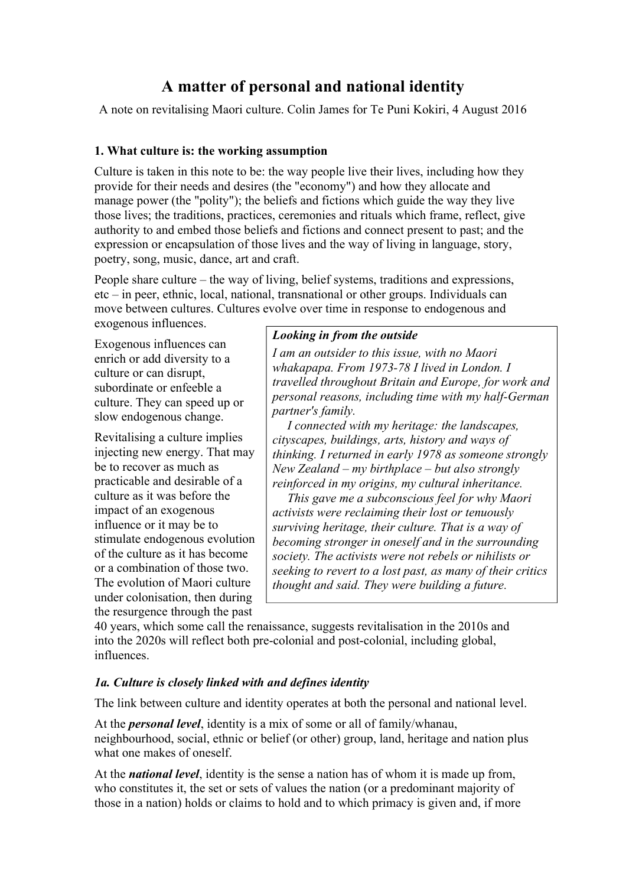# **A matter of personal and national identity**

A note on revitalising Maori culture. Colin James for Te Puni Kokiri, 4 August 2016

## **1. What culture is: the working assumption**

Culture is taken in this note to be: the way people live their lives, including how they provide for their needs and desires (the "economy") and how they allocate and manage power (the "polity"); the beliefs and fictions which guide the way they live those lives; the traditions, practices, ceremonies and rituals which frame, reflect, give authority to and embed those beliefs and fictions and connect present to past; and the expression or encapsulation of those lives and the way of living in language, story, poetry, song, music, dance, art and craft.

People share culture – the way of living, belief systems, traditions and expressions, etc – in peer, ethnic, local, national, transnational or other groups. Individuals can move between cultures. Cultures evolve over time in response to endogenous and

exogenous influences.

Exogenous influences can enrich or add diversity to a culture or can disrupt, subordinate or enfeeble a culture. They can speed up or slow endogenous change.

Revitalising a culture implies injecting new energy. That may be to recover as much as practicable and desirable of a culture as it was before the impact of an exogenous influence or it may be to stimulate endogenous evolution of the culture as it has become or a combination of those two. The evolution of Maori culture under colonisation, then during the resurgence through the past

## *Looking in from the outside*

*I am an outsider to this issue, with no Maori whakapapa. From 1973-78 I lived in London. I travelled throughout Britain and Europe, for work and personal reasons, including time with my half-German partner's family.* 

*I connected with my heritage: the landscapes, cityscapes, buildings, arts, history and ways of thinking. I returned in early 1978 as someone strongly New Zealand – my birthplace – but also strongly reinforced in my origins, my cultural inheritance.* 

*This gave me a subconscious feel for why Maori activists were reclaiming their lost or tenuously surviving heritage, their culture. That is a way of becoming stronger in oneself and in the surrounding society. The activists were not rebels or nihilists or seeking to revert to a lost past, as many of their critics thought and said. They were building a future.* 

40 years, which some call the renaissance, suggests revitalisation in the 2010s and into the 2020s will reflect both pre-colonial and post-colonial, including global, influences.

## *1a. Culture is closely linked with and defines identity*

The link between culture and identity operates at both the personal and national level.

At the *personal level*, identity is a mix of some or all of family/whanau, neighbourhood, social, ethnic or belief (or other) group, land, heritage and nation plus what one makes of oneself.

At the *national level*, identity is the sense a nation has of whom it is made up from, who constitutes it, the set or sets of values the nation (or a predominant majority of those in a nation) holds or claims to hold and to which primacy is given and, if more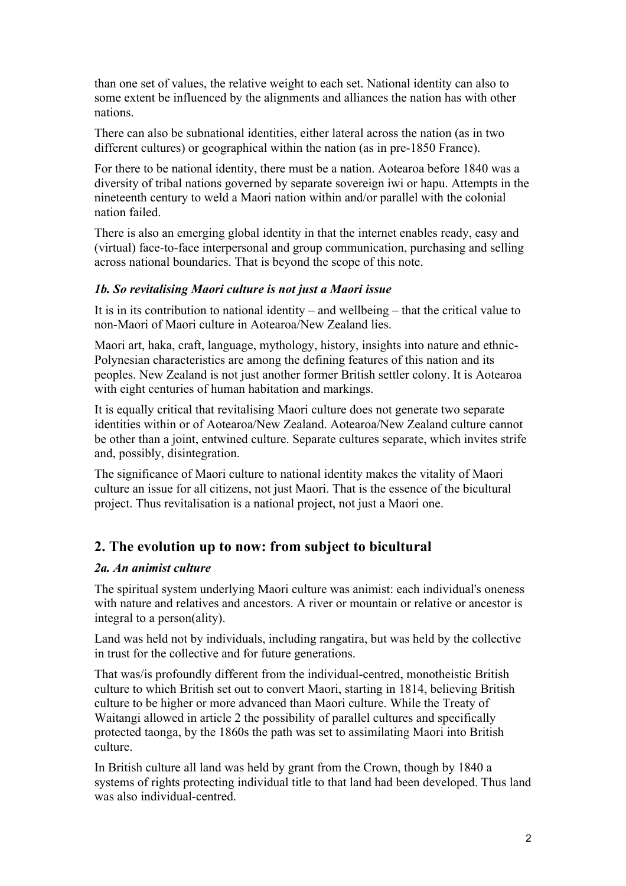than one set of values, the relative weight to each set. National identity can also to some extent be influenced by the alignments and alliances the nation has with other nations.

There can also be subnational identities, either lateral across the nation (as in two different cultures) or geographical within the nation (as in pre-1850 France).

For there to be national identity, there must be a nation. Aotearoa before 1840 was a diversity of tribal nations governed by separate sovereign iwi or hapu. Attempts in the nineteenth century to weld a Maori nation within and/or parallel with the colonial nation failed.

There is also an emerging global identity in that the internet enables ready, easy and (virtual) face-to-face interpersonal and group communication, purchasing and selling across national boundaries. That is beyond the scope of this note.

#### *1b. So revitalising Maori culture is not just a Maori issue*

It is in its contribution to national identity – and wellbeing – that the critical value to non-Maori of Maori culture in Aotearoa/New Zealand lies.

Maori art, haka, craft, language, mythology, history, insights into nature and ethnic-Polynesian characteristics are among the defining features of this nation and its peoples. New Zealand is not just another former British settler colony. It is Aotearoa with eight centuries of human habitation and markings.

It is equally critical that revitalising Maori culture does not generate two separate identities within or of Aotearoa/New Zealand. Aotearoa/New Zealand culture cannot be other than a joint, entwined culture. Separate cultures separate, which invites strife and, possibly, disintegration.

The significance of Maori culture to national identity makes the vitality of Maori culture an issue for all citizens, not just Maori. That is the essence of the bicultural project. Thus revitalisation is a national project, not just a Maori one.

## **2. The evolution up to now: from subject to bicultural**

#### *2a. An animist culture*

The spiritual system underlying Maori culture was animist: each individual's oneness with nature and relatives and ancestors. A river or mountain or relative or ancestor is integral to a person(ality).

Land was held not by individuals, including rangatira, but was held by the collective in trust for the collective and for future generations.

That was/is profoundly different from the individual-centred, monotheistic British culture to which British set out to convert Maori, starting in 1814, believing British culture to be higher or more advanced than Maori culture. While the Treaty of Waitangi allowed in article 2 the possibility of parallel cultures and specifically protected taonga, by the 1860s the path was set to assimilating Maori into British culture.

In British culture all land was held by grant from the Crown, though by 1840 a systems of rights protecting individual title to that land had been developed. Thus land was also individual-centred.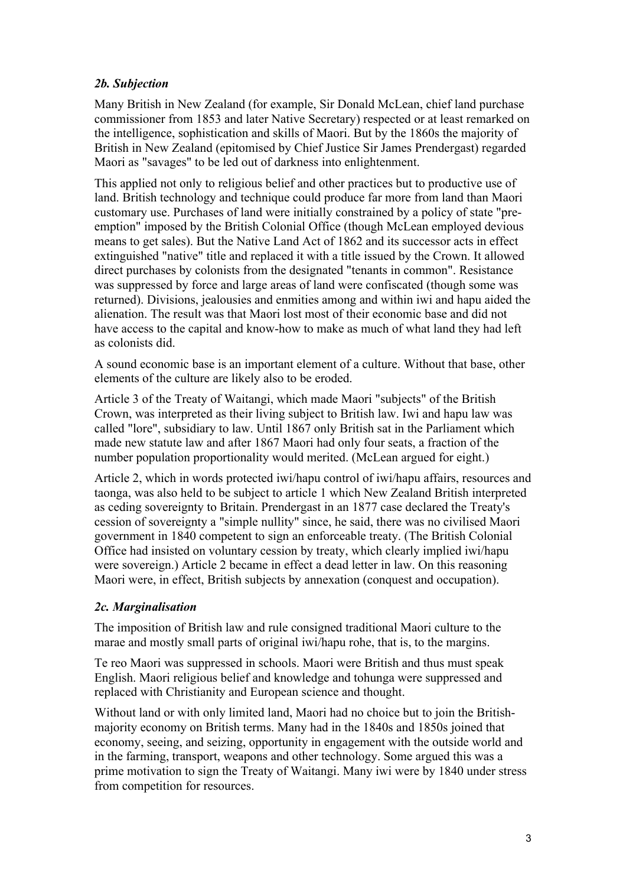## *2b. Subjection*

Many British in New Zealand (for example, Sir Donald McLean, chief land purchase commissioner from 1853 and later Native Secretary) respected or at least remarked on the intelligence, sophistication and skills of Maori. But by the 1860s the majority of British in New Zealand (epitomised by Chief Justice Sir James Prendergast) regarded Maori as "savages" to be led out of darkness into enlightenment.

This applied not only to religious belief and other practices but to productive use of land. British technology and technique could produce far more from land than Maori customary use. Purchases of land were initially constrained by a policy of state "preemption" imposed by the British Colonial Office (though McLean employed devious means to get sales). But the Native Land Act of 1862 and its successor acts in effect extinguished "native" title and replaced it with a title issued by the Crown. It allowed direct purchases by colonists from the designated "tenants in common". Resistance was suppressed by force and large areas of land were confiscated (though some was returned). Divisions, jealousies and enmities among and within iwi and hapu aided the alienation. The result was that Maori lost most of their economic base and did not have access to the capital and know-how to make as much of what land they had left as colonists did.

A sound economic base is an important element of a culture. Without that base, other elements of the culture are likely also to be eroded.

Article 3 of the Treaty of Waitangi, which made Maori "subjects" of the British Crown, was interpreted as their living subject to British law. Iwi and hapu law was called "lore", subsidiary to law. Until 1867 only British sat in the Parliament which made new statute law and after 1867 Maori had only four seats, a fraction of the number population proportionality would merited. (McLean argued for eight.)

Article 2, which in words protected iwi/hapu control of iwi/hapu affairs, resources and taonga, was also held to be subject to article 1 which New Zealand British interpreted as ceding sovereignty to Britain. Prendergast in an 1877 case declared the Treaty's cession of sovereignty a "simple nullity" since, he said, there was no civilised Maori government in 1840 competent to sign an enforceable treaty. (The British Colonial Office had insisted on voluntary cession by treaty, which clearly implied iwi/hapu were sovereign.) Article 2 became in effect a dead letter in law. On this reasoning Maori were, in effect, British subjects by annexation (conquest and occupation).

## *2c. Marginalisation*

The imposition of British law and rule consigned traditional Maori culture to the marae and mostly small parts of original iwi/hapu rohe, that is, to the margins.

Te reo Maori was suppressed in schools. Maori were British and thus must speak English. Maori religious belief and knowledge and tohunga were suppressed and replaced with Christianity and European science and thought.

Without land or with only limited land, Maori had no choice but to join the Britishmajority economy on British terms. Many had in the 1840s and 1850s joined that economy, seeing, and seizing, opportunity in engagement with the outside world and in the farming, transport, weapons and other technology. Some argued this was a prime motivation to sign the Treaty of Waitangi. Many iwi were by 1840 under stress from competition for resources.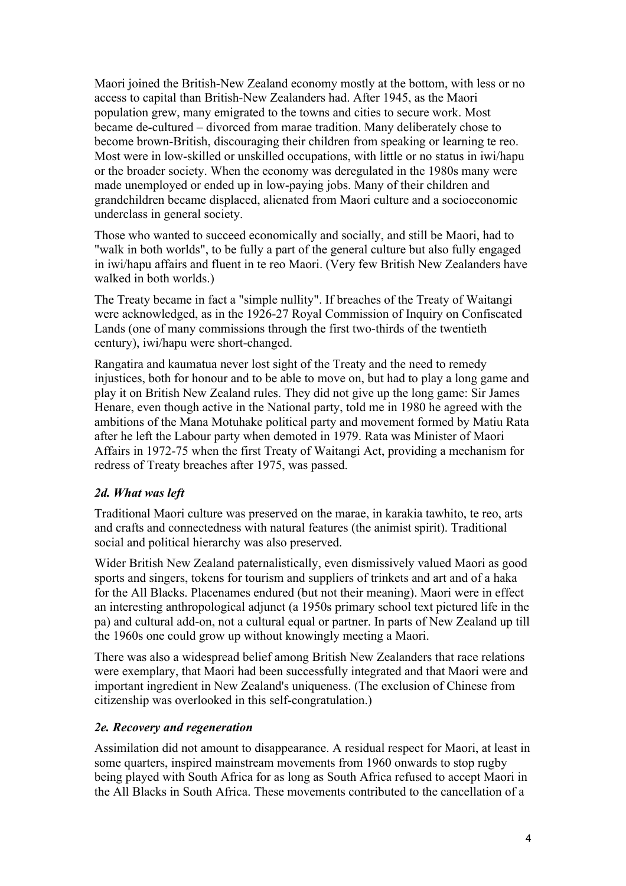Maori joined the British-New Zealand economy mostly at the bottom, with less or no access to capital than British-New Zealanders had. After 1945, as the Maori population grew, many emigrated to the towns and cities to secure work. Most became de-cultured – divorced from marae tradition. Many deliberately chose to become brown-British, discouraging their children from speaking or learning te reo. Most were in low-skilled or unskilled occupations, with little or no status in iwi/hapu or the broader society. When the economy was deregulated in the 1980s many were made unemployed or ended up in low-paying jobs. Many of their children and grandchildren became displaced, alienated from Maori culture and a socioeconomic underclass in general society.

Those who wanted to succeed economically and socially, and still be Maori, had to "walk in both worlds", to be fully a part of the general culture but also fully engaged in iwi/hapu affairs and fluent in te reo Maori. (Very few British New Zealanders have walked in both worlds.)

The Treaty became in fact a "simple nullity". If breaches of the Treaty of Waitangi were acknowledged, as in the 1926-27 Royal Commission of Inquiry on Confiscated Lands (one of many commissions through the first two-thirds of the twentieth century), iwi/hapu were short-changed.

Rangatira and kaumatua never lost sight of the Treaty and the need to remedy injustices, both for honour and to be able to move on, but had to play a long game and play it on British New Zealand rules. They did not give up the long game: Sir James Henare, even though active in the National party, told me in 1980 he agreed with the ambitions of the Mana Motuhake political party and movement formed by Matiu Rata after he left the Labour party when demoted in 1979. Rata was Minister of Maori Affairs in 1972-75 when the first Treaty of Waitangi Act, providing a mechanism for redress of Treaty breaches after 1975, was passed.

## *2d. What was left*

Traditional Maori culture was preserved on the marae, in karakia tawhito, te reo, arts and crafts and connectedness with natural features (the animist spirit). Traditional social and political hierarchy was also preserved.

Wider British New Zealand paternalistically, even dismissively valued Maori as good sports and singers, tokens for tourism and suppliers of trinkets and art and of a haka for the All Blacks. Placenames endured (but not their meaning). Maori were in effect an interesting anthropological adjunct (a 1950s primary school text pictured life in the pa) and cultural add-on, not a cultural equal or partner. In parts of New Zealand up till the 1960s one could grow up without knowingly meeting a Maori.

There was also a widespread belief among British New Zealanders that race relations were exemplary, that Maori had been successfully integrated and that Maori were and important ingredient in New Zealand's uniqueness. (The exclusion of Chinese from citizenship was overlooked in this self-congratulation.)

## *2e. Recovery and regeneration*

Assimilation did not amount to disappearance. A residual respect for Maori, at least in some quarters, inspired mainstream movements from 1960 onwards to stop rugby being played with South Africa for as long as South Africa refused to accept Maori in the All Blacks in South Africa. These movements contributed to the cancellation of a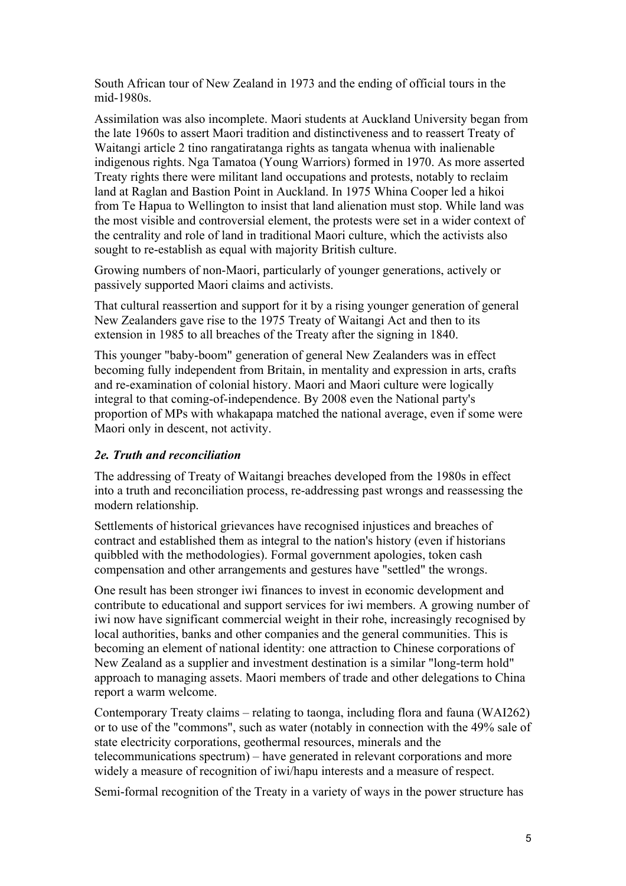South African tour of New Zealand in 1973 and the ending of official tours in the mid-1980s.

Assimilation was also incomplete. Maori students at Auckland University began from the late 1960s to assert Maori tradition and distinctiveness and to reassert Treaty of Waitangi article 2 tino rangatiratanga rights as tangata whenua with inalienable indigenous rights. Nga Tamatoa (Young Warriors) formed in 1970. As more asserted Treaty rights there were militant land occupations and protests, notably to reclaim land at Raglan and Bastion Point in Auckland. In 1975 Whina Cooper led a hikoi from Te Hapua to Wellington to insist that land alienation must stop. While land was the most visible and controversial element, the protests were set in a wider context of the centrality and role of land in traditional Maori culture, which the activists also sought to re-establish as equal with majority British culture.

Growing numbers of non-Maori, particularly of younger generations, actively or passively supported Maori claims and activists.

That cultural reassertion and support for it by a rising younger generation of general New Zealanders gave rise to the 1975 Treaty of Waitangi Act and then to its extension in 1985 to all breaches of the Treaty after the signing in 1840.

This younger "baby-boom" generation of general New Zealanders was in effect becoming fully independent from Britain, in mentality and expression in arts, crafts and re-examination of colonial history. Maori and Maori culture were logically integral to that coming-of-independence. By 2008 even the National party's proportion of MPs with whakapapa matched the national average, even if some were Maori only in descent, not activity.

### *2e. Truth and reconciliation*

The addressing of Treaty of Waitangi breaches developed from the 1980s in effect into a truth and reconciliation process, re-addressing past wrongs and reassessing the modern relationship.

Settlements of historical grievances have recognised injustices and breaches of contract and established them as integral to the nation's history (even if historians quibbled with the methodologies). Formal government apologies, token cash compensation and other arrangements and gestures have "settled" the wrongs.

One result has been stronger iwi finances to invest in economic development and contribute to educational and support services for iwi members. A growing number of iwi now have significant commercial weight in their rohe, increasingly recognised by local authorities, banks and other companies and the general communities. This is becoming an element of national identity: one attraction to Chinese corporations of New Zealand as a supplier and investment destination is a similar "long-term hold" approach to managing assets. Maori members of trade and other delegations to China report a warm welcome.

Contemporary Treaty claims – relating to taonga, including flora and fauna (WAI262) or to use of the "commons", such as water (notably in connection with the 49% sale of state electricity corporations, geothermal resources, minerals and the telecommunications spectrum) – have generated in relevant corporations and more widely a measure of recognition of iwi/hapu interests and a measure of respect.

Semi-formal recognition of the Treaty in a variety of ways in the power structure has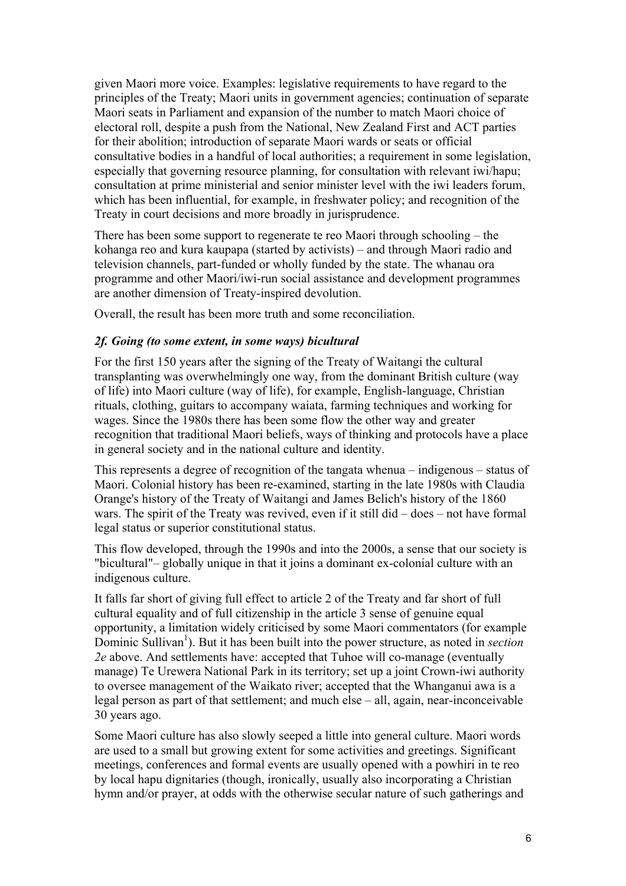given Maori more voice. Examples: legislative requirements to have regard to the principles of the Treaty; Maori units in government agencies; continuation of separate Maori seats in Parliament and expansion of the number to match Maori choice of electoral roll, despite a push from the National, New Zealand First and ACT parties for their abolition; introduction of separate Maori wards or seats or official consultative bodies in a handful of local authorities; a requirement in some legislation, especially that governing resource planning, for consultation with relevant iwi/hapu; consultation at prime ministerial and senior minister level with the iwi leaders forum, which has been influential, for example, in freshwater policy; and recognition of the Treaty in court decisions and more broadly in jurisprudence.

There has been some support to regenerate te reo Maori through schooling – the kohanga reo and kura kaupapa (started by activists) – and through Maori radio and television channels, part-funded or wholly funded by the state. The whanau ora programme and other Maori/iwi-run social assistance and development programmes are another dimension of Treaty-inspired devolution.

Overall, the result has been more truth and some reconciliation.

#### *2f. Going (to some extent, in some ways) bicultural*

For the first 150 years after the signing of the Treaty of Waitangi the cultural transplanting was overwhelmingly one way, from the dominant British culture (way of life) into Maori culture (way of life), for example, English-language, Christian rituals, clothing, guitars to accompany waiata, farming techniques and working for wages. Since the 1980s there has been some flow the other way and greater recognition that traditional Maori beliefs, ways of thinking and protocols have a place in general society and in the national culture and identity.

This represents a degree of recognition of the tangata whenua – indigenous – status of Maori. Colonial history has been re-examined, starting in the late 1980s with Claudia Orange's history of the Treaty of Waitangi and James Belich's history of the 1860 wars. The spirit of the Treaty was revived, even if it still did – does – not have formal legal status or superior constitutional status.

This flow developed, through the 1990s and into the 2000s, a sense that our society is "bicultural"– globally unique in that it joins a dominant ex-colonial culture with an indigenous culture.

It falls far short of giving full effect to article 2 of the Treaty and far short of full cultural equality and of full citizenship in the article 3 sense of genuine equal opportunity, a limitation widely criticised by some Maori commentators (for example Dominic Sullivan<sup>1</sup>). But it has been built into the power structure, as noted in *section 2e* above. And settlements have: accepted that Tuhoe will co-manage (eventually manage) Te Urewera National Park in its territory; set up a joint Crown-iwi authority to oversee management of the Waikato river; accepted that the Whanganui awa is a legal person as part of that settlement; and much else – all, again, near-inconceivable 30 years ago.

Some Maori culture has also slowly seeped a little into general culture. Maori words are used to a small but growing extent for some activities and greetings. Significant meetings, conferences and formal events are usually opened with a powhiri in te reo by local hapu dignitaries (though, ironically, usually also incorporating a Christian hymn and/or prayer, at odds with the otherwise secular nature of such gatherings and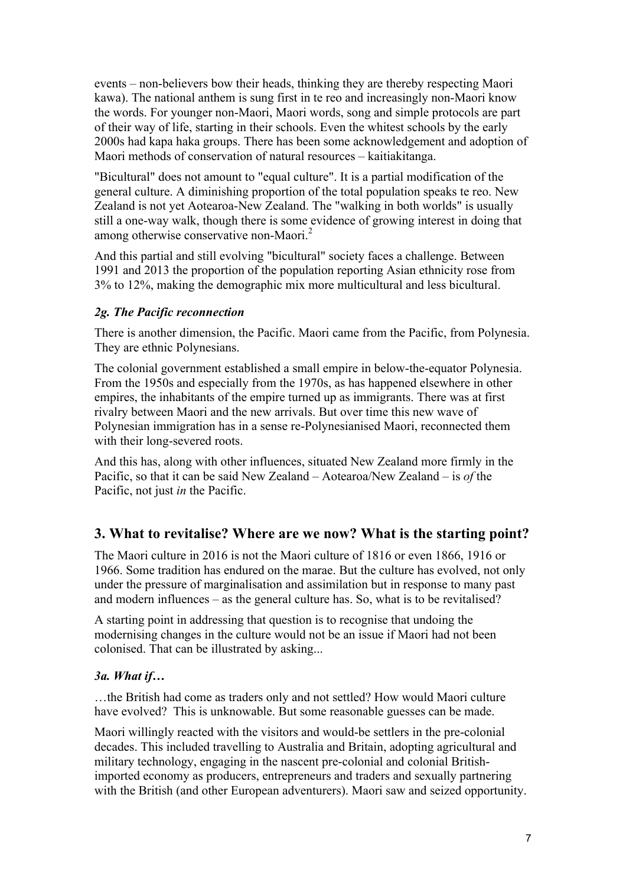events – non-believers bow their heads, thinking they are thereby respecting Maori kawa). The national anthem is sung first in te reo and increasingly non-Maori know the words. For younger non-Maori, Maori words, song and simple protocols are part of their way of life, starting in their schools. Even the whitest schools by the early 2000s had kapa haka groups. There has been some acknowledgement and adoption of Maori methods of conservation of natural resources – kaitiakitanga.

"Bicultural" does not amount to "equal culture". It is a partial modification of the general culture. A diminishing proportion of the total population speaks te reo. New Zealand is not yet Aotearoa-New Zealand. The "walking in both worlds" is usually still a one-way walk, though there is some evidence of growing interest in doing that among otherwise conservative non-Maori.<sup>2</sup>

And this partial and still evolving "bicultural" society faces a challenge. Between 1991 and 2013 the proportion of the population reporting Asian ethnicity rose from 3% to 12%, making the demographic mix more multicultural and less bicultural.

## *2g. The Pacific reconnection*

There is another dimension, the Pacific. Maori came from the Pacific, from Polynesia. They are ethnic Polynesians.

The colonial government established a small empire in below-the-equator Polynesia. From the 1950s and especially from the 1970s, as has happened elsewhere in other empires, the inhabitants of the empire turned up as immigrants. There was at first rivalry between Maori and the new arrivals. But over time this new wave of Polynesian immigration has in a sense re-Polynesianised Maori, reconnected them with their long-severed roots.

And this has, along with other influences, situated New Zealand more firmly in the Pacific, so that it can be said New Zealand – Aotearoa/New Zealand – is *of* the Pacific, not just *in* the Pacific.

## **3. What to revitalise? Where are we now? What is the starting point?**

The Maori culture in 2016 is not the Maori culture of 1816 or even 1866, 1916 or 1966. Some tradition has endured on the marae. But the culture has evolved, not only under the pressure of marginalisation and assimilation but in response to many past and modern influences – as the general culture has. So, what is to be revitalised?

A starting point in addressing that question is to recognise that undoing the modernising changes in the culture would not be an issue if Maori had not been colonised. That can be illustrated by asking...

### *3a. What if…*

…the British had come as traders only and not settled? How would Maori culture have evolved? This is unknowable. But some reasonable guesses can be made.

Maori willingly reacted with the visitors and would-be settlers in the pre-colonial decades. This included travelling to Australia and Britain, adopting agricultural and military technology, engaging in the nascent pre-colonial and colonial Britishimported economy as producers, entrepreneurs and traders and sexually partnering with the British (and other European adventurers). Maori saw and seized opportunity.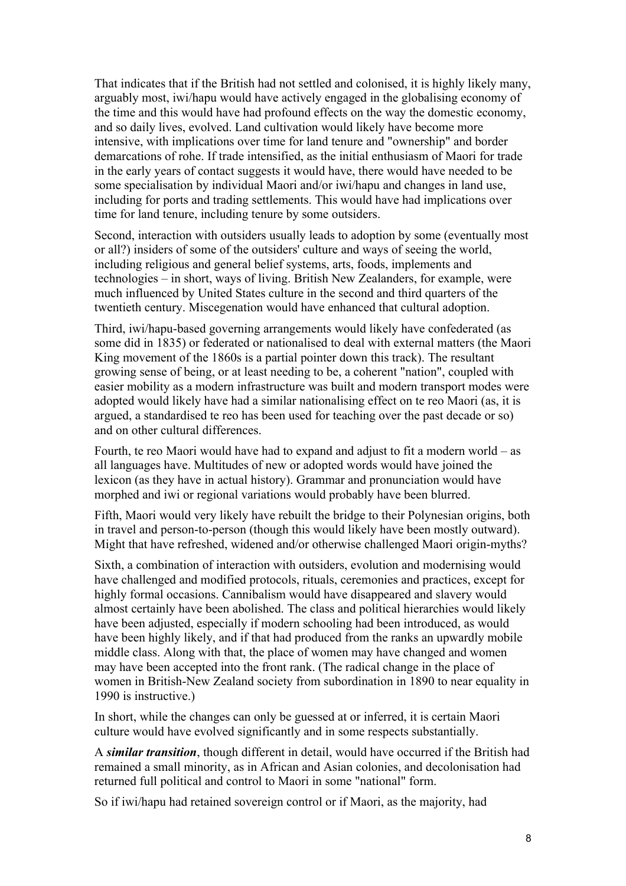That indicates that if the British had not settled and colonised, it is highly likely many, arguably most, iwi/hapu would have actively engaged in the globalising economy of the time and this would have had profound effects on the way the domestic economy, and so daily lives, evolved. Land cultivation would likely have become more intensive, with implications over time for land tenure and "ownership" and border demarcations of rohe. If trade intensified, as the initial enthusiasm of Maori for trade in the early years of contact suggests it would have, there would have needed to be some specialisation by individual Maori and/or iwi/hapu and changes in land use, including for ports and trading settlements. This would have had implications over time for land tenure, including tenure by some outsiders.

Second, interaction with outsiders usually leads to adoption by some (eventually most or all?) insiders of some of the outsiders' culture and ways of seeing the world, including religious and general belief systems, arts, foods, implements and technologies – in short, ways of living. British New Zealanders, for example, were much influenced by United States culture in the second and third quarters of the twentieth century. Miscegenation would have enhanced that cultural adoption.

Third, iwi/hapu-based governing arrangements would likely have confederated (as some did in 1835) or federated or nationalised to deal with external matters (the Maori King movement of the 1860s is a partial pointer down this track). The resultant growing sense of being, or at least needing to be, a coherent "nation", coupled with easier mobility as a modern infrastructure was built and modern transport modes were adopted would likely have had a similar nationalising effect on te reo Maori (as, it is argued, a standardised te reo has been used for teaching over the past decade or so) and on other cultural differences.

Fourth, te reo Maori would have had to expand and adjust to fit a modern world – as all languages have. Multitudes of new or adopted words would have joined the lexicon (as they have in actual history). Grammar and pronunciation would have morphed and iwi or regional variations would probably have been blurred.

Fifth, Maori would very likely have rebuilt the bridge to their Polynesian origins, both in travel and person-to-person (though this would likely have been mostly outward). Might that have refreshed, widened and/or otherwise challenged Maori origin-myths?

Sixth, a combination of interaction with outsiders, evolution and modernising would have challenged and modified protocols, rituals, ceremonies and practices, except for highly formal occasions. Cannibalism would have disappeared and slavery would almost certainly have been abolished. The class and political hierarchies would likely have been adjusted, especially if modern schooling had been introduced, as would have been highly likely, and if that had produced from the ranks an upwardly mobile middle class. Along with that, the place of women may have changed and women may have been accepted into the front rank. (The radical change in the place of women in British-New Zealand society from subordination in 1890 to near equality in 1990 is instructive.)

In short, while the changes can only be guessed at or inferred, it is certain Maori culture would have evolved significantly and in some respects substantially.

A *similar transition*, though different in detail, would have occurred if the British had remained a small minority, as in African and Asian colonies, and decolonisation had returned full political and control to Maori in some "national" form.

So if iwi/hapu had retained sovereign control or if Maori, as the majority, had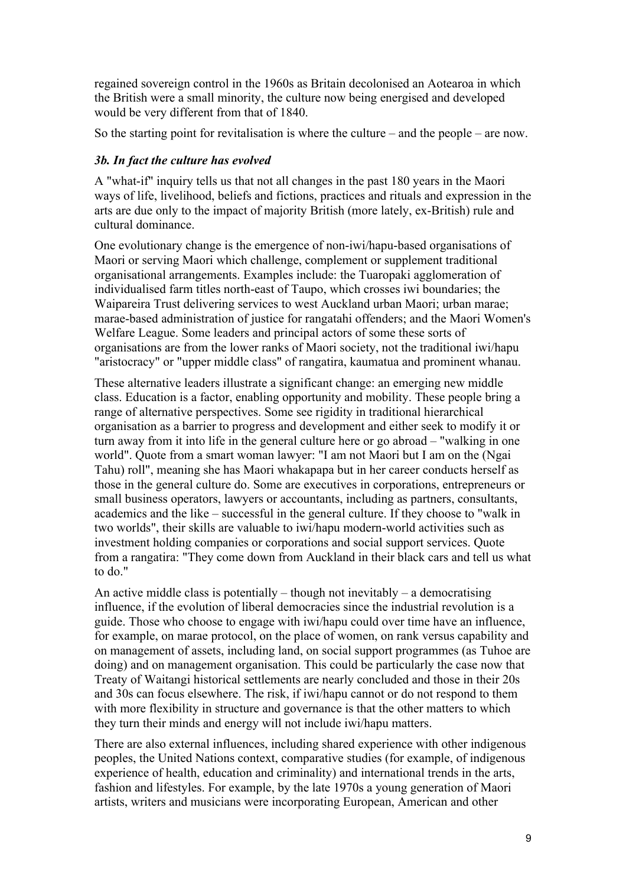regained sovereign control in the 1960s as Britain decolonised an Aotearoa in which the British were a small minority, the culture now being energised and developed would be very different from that of 1840.

So the starting point for revitalisation is where the culture – and the people – are now.

## *3b. In fact the culture has evolved*

A "what-if" inquiry tells us that not all changes in the past 180 years in the Maori ways of life, livelihood, beliefs and fictions, practices and rituals and expression in the arts are due only to the impact of majority British (more lately, ex-British) rule and cultural dominance.

One evolutionary change is the emergence of non-iwi/hapu-based organisations of Maori or serving Maori which challenge, complement or supplement traditional organisational arrangements. Examples include: the Tuaropaki agglomeration of individualised farm titles north-east of Taupo, which crosses iwi boundaries; the Waipareira Trust delivering services to west Auckland urban Maori; urban marae; marae-based administration of justice for rangatahi offenders; and the Maori Women's Welfare League. Some leaders and principal actors of some these sorts of organisations are from the lower ranks of Maori society, not the traditional iwi/hapu "aristocracy" or "upper middle class" of rangatira, kaumatua and prominent whanau.

These alternative leaders illustrate a significant change: an emerging new middle class. Education is a factor, enabling opportunity and mobility. These people bring a range of alternative perspectives. Some see rigidity in traditional hierarchical organisation as a barrier to progress and development and either seek to modify it or turn away from it into life in the general culture here or go abroad – "walking in one world". Quote from a smart woman lawyer: "I am not Maori but I am on the (Ngai Tahu) roll", meaning she has Maori whakapapa but in her career conducts herself as those in the general culture do. Some are executives in corporations, entrepreneurs or small business operators, lawyers or accountants, including as partners, consultants, academics and the like – successful in the general culture. If they choose to "walk in two worlds", their skills are valuable to iwi/hapu modern-world activities such as investment holding companies or corporations and social support services. Quote from a rangatira: "They come down from Auckland in their black cars and tell us what to do."

An active middle class is potentially – though not inevitably – a democratising influence, if the evolution of liberal democracies since the industrial revolution is a guide. Those who choose to engage with iwi/hapu could over time have an influence, for example, on marae protocol, on the place of women, on rank versus capability and on management of assets, including land, on social support programmes (as Tuhoe are doing) and on management organisation. This could be particularly the case now that Treaty of Waitangi historical settlements are nearly concluded and those in their 20s and 30s can focus elsewhere. The risk, if iwi/hapu cannot or do not respond to them with more flexibility in structure and governance is that the other matters to which they turn their minds and energy will not include iwi/hapu matters.

There are also external influences, including shared experience with other indigenous peoples, the United Nations context, comparative studies (for example, of indigenous experience of health, education and criminality) and international trends in the arts, fashion and lifestyles. For example, by the late 1970s a young generation of Maori artists, writers and musicians were incorporating European, American and other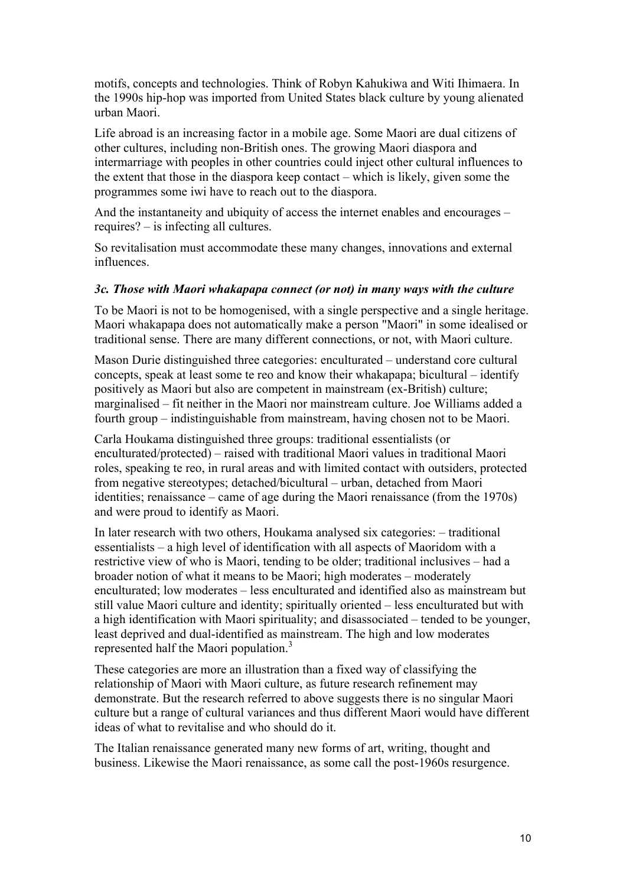motifs, concepts and technologies. Think of Robyn Kahukiwa and Witi Ihimaera. In the 1990s hip-hop was imported from United States black culture by young alienated urban Maori.

Life abroad is an increasing factor in a mobile age. Some Maori are dual citizens of other cultures, including non-British ones. The growing Maori diaspora and intermarriage with peoples in other countries could inject other cultural influences to the extent that those in the diaspora keep contact – which is likely, given some the programmes some iwi have to reach out to the diaspora.

And the instantaneity and ubiquity of access the internet enables and encourages – requires? – is infecting all cultures.

So revitalisation must accommodate these many changes, innovations and external influences.

#### *3c. Those with Maori whakapapa connect (or not) in many ways with the culture*

To be Maori is not to be homogenised, with a single perspective and a single heritage. Maori whakapapa does not automatically make a person "Maori" in some idealised or traditional sense. There are many different connections, or not, with Maori culture.

Mason Durie distinguished three categories: enculturated – understand core cultural concepts, speak at least some te reo and know their whakapapa; bicultural – identify positively as Maori but also are competent in mainstream (ex-British) culture; marginalised – fit neither in the Maori nor mainstream culture. Joe Williams added a fourth group – indistinguishable from mainstream, having chosen not to be Maori.

Carla Houkama distinguished three groups: traditional essentialists (or enculturated/protected) – raised with traditional Maori values in traditional Maori roles, speaking te reo, in rural areas and with limited contact with outsiders, protected from negative stereotypes; detached/bicultural – urban, detached from Maori identities; renaissance – came of age during the Maori renaissance (from the 1970s) and were proud to identify as Maori.

In later research with two others, Houkama analysed six categories: – traditional essentialists – a high level of identification with all aspects of Maoridom with a restrictive view of who is Maori, tending to be older; traditional inclusives – had a broader notion of what it means to be Maori; high moderates – moderately enculturated; low moderates – less enculturated and identified also as mainstream but still value Maori culture and identity; spiritually oriented – less enculturated but with a high identification with Maori spirituality; and disassociated – tended to be younger, least deprived and dual-identified as mainstream. The high and low moderates represented half the Maori population.<sup>3</sup>

These categories are more an illustration than a fixed way of classifying the relationship of Maori with Maori culture, as future research refinement may demonstrate. But the research referred to above suggests there is no singular Maori culture but a range of cultural variances and thus different Maori would have different ideas of what to revitalise and who should do it.

The Italian renaissance generated many new forms of art, writing, thought and business. Likewise the Maori renaissance, as some call the post-1960s resurgence.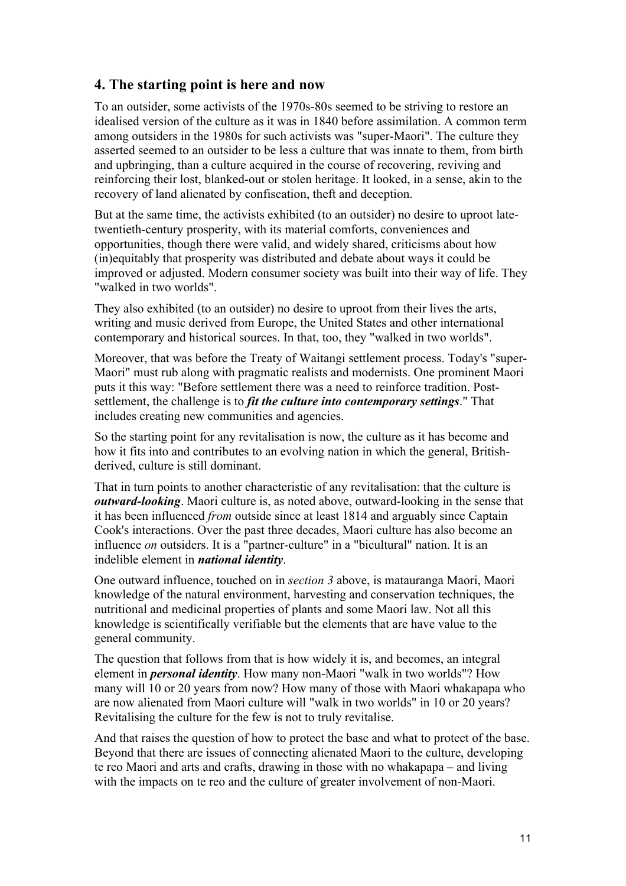## **4. The starting point is here and now**

To an outsider, some activists of the 1970s-80s seemed to be striving to restore an idealised version of the culture as it was in 1840 before assimilation. A common term among outsiders in the 1980s for such activists was "super-Maori". The culture they asserted seemed to an outsider to be less a culture that was innate to them, from birth and upbringing, than a culture acquired in the course of recovering, reviving and reinforcing their lost, blanked-out or stolen heritage. It looked, in a sense, akin to the recovery of land alienated by confiscation, theft and deception.

But at the same time, the activists exhibited (to an outsider) no desire to uproot latetwentieth-century prosperity, with its material comforts, conveniences and opportunities, though there were valid, and widely shared, criticisms about how (in)equitably that prosperity was distributed and debate about ways it could be improved or adjusted. Modern consumer society was built into their way of life. They "walked in two worlds".

They also exhibited (to an outsider) no desire to uproot from their lives the arts, writing and music derived from Europe, the United States and other international contemporary and historical sources. In that, too, they "walked in two worlds".

Moreover, that was before the Treaty of Waitangi settlement process. Today's "super-Maori" must rub along with pragmatic realists and modernists. One prominent Maori puts it this way: "Before settlement there was a need to reinforce tradition. Postsettlement, the challenge is to *fit the culture into contemporary settings*." That includes creating new communities and agencies.

So the starting point for any revitalisation is now, the culture as it has become and how it fits into and contributes to an evolving nation in which the general, Britishderived, culture is still dominant.

That in turn points to another characteristic of any revitalisation: that the culture is *outward-looking*. Maori culture is, as noted above, outward-looking in the sense that it has been influenced *from* outside since at least 1814 and arguably since Captain Cook's interactions. Over the past three decades, Maori culture has also become an influence *on* outsiders. It is a "partner-culture" in a "bicultural" nation. It is an indelible element in *national identity*.

One outward influence, touched on in *section 3* above, is matauranga Maori, Maori knowledge of the natural environment, harvesting and conservation techniques, the nutritional and medicinal properties of plants and some Maori law. Not all this knowledge is scientifically verifiable but the elements that are have value to the general community.

The question that follows from that is how widely it is, and becomes, an integral element in *personal identity*. How many non-Maori "walk in two worlds"? How many will 10 or 20 years from now? How many of those with Maori whakapapa who are now alienated from Maori culture will "walk in two worlds" in 10 or 20 years? Revitalising the culture for the few is not to truly revitalise.

And that raises the question of how to protect the base and what to protect of the base. Beyond that there are issues of connecting alienated Maori to the culture, developing te reo Maori and arts and crafts, drawing in those with no whakapapa – and living with the impacts on te reo and the culture of greater involvement of non-Maori.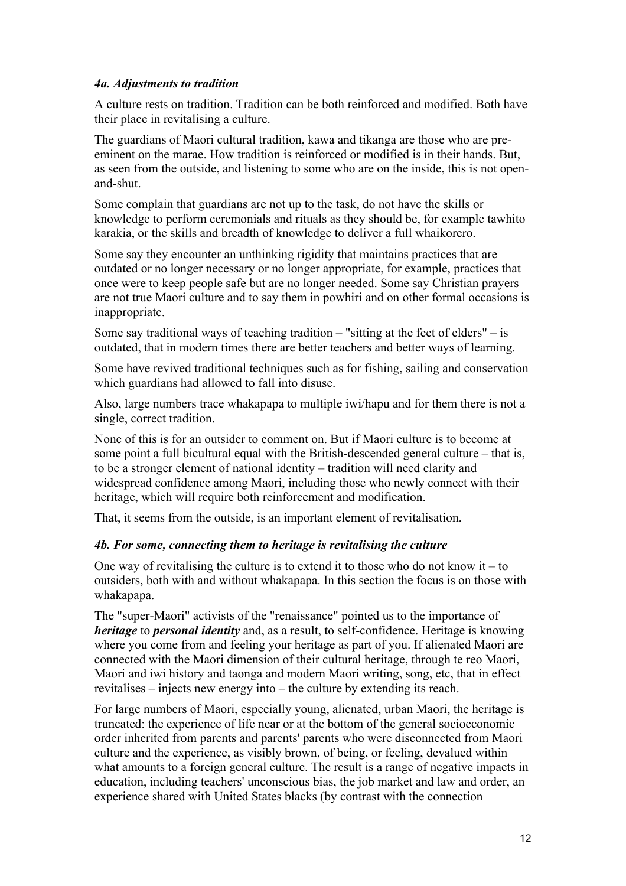### *4a. Adjustments to tradition*

A culture rests on tradition. Tradition can be both reinforced and modified. Both have their place in revitalising a culture.

The guardians of Maori cultural tradition, kawa and tikanga are those who are preeminent on the marae. How tradition is reinforced or modified is in their hands. But, as seen from the outside, and listening to some who are on the inside, this is not openand-shut.

Some complain that guardians are not up to the task, do not have the skills or knowledge to perform ceremonials and rituals as they should be, for example tawhito karakia, or the skills and breadth of knowledge to deliver a full whaikorero.

Some say they encounter an unthinking rigidity that maintains practices that are outdated or no longer necessary or no longer appropriate, for example, practices that once were to keep people safe but are no longer needed. Some say Christian prayers are not true Maori culture and to say them in powhiri and on other formal occasions is inappropriate.

Some say traditional ways of teaching tradition  $-$  "sitting at the feet of elders"  $-$  is outdated, that in modern times there are better teachers and better ways of learning.

Some have revived traditional techniques such as for fishing, sailing and conservation which guardians had allowed to fall into disuse.

Also, large numbers trace whakapapa to multiple iwi/hapu and for them there is not a single, correct tradition.

None of this is for an outsider to comment on. But if Maori culture is to become at some point a full bicultural equal with the British-descended general culture – that is, to be a stronger element of national identity – tradition will need clarity and widespread confidence among Maori, including those who newly connect with their heritage, which will require both reinforcement and modification.

That, it seems from the outside, is an important element of revitalisation.

### *4b. For some, connecting them to heritage is revitalising the culture*

One way of revitalising the culture is to extend it to those who do not know it – to outsiders, both with and without whakapapa. In this section the focus is on those with whakapapa.

The "super-Maori" activists of the "renaissance" pointed us to the importance of *heritage* to *personal identity* and, as a result, to self-confidence. Heritage is knowing where you come from and feeling your heritage as part of you. If alienated Maori are connected with the Maori dimension of their cultural heritage, through te reo Maori, Maori and iwi history and taonga and modern Maori writing, song, etc, that in effect revitalises – injects new energy into – the culture by extending its reach.

For large numbers of Maori, especially young, alienated, urban Maori, the heritage is truncated: the experience of life near or at the bottom of the general socioeconomic order inherited from parents and parents' parents who were disconnected from Maori culture and the experience, as visibly brown, of being, or feeling, devalued within what amounts to a foreign general culture. The result is a range of negative impacts in education, including teachers' unconscious bias, the job market and law and order, an experience shared with United States blacks (by contrast with the connection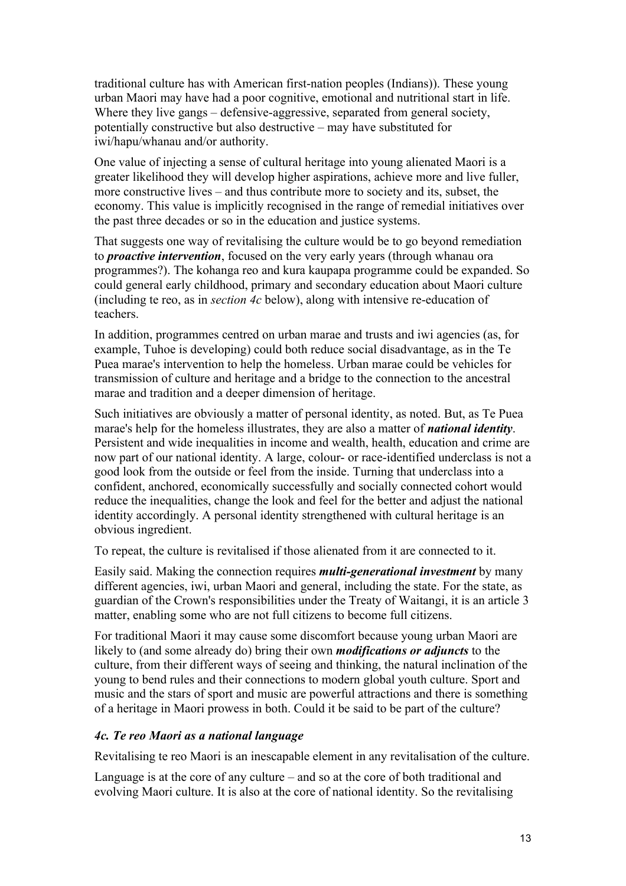traditional culture has with American first-nation peoples (Indians)). These young urban Maori may have had a poor cognitive, emotional and nutritional start in life. Where they live gangs – defensive-aggressive, separated from general society, potentially constructive but also destructive – may have substituted for iwi/hapu/whanau and/or authority.

One value of injecting a sense of cultural heritage into young alienated Maori is a greater likelihood they will develop higher aspirations, achieve more and live fuller, more constructive lives – and thus contribute more to society and its, subset, the economy. This value is implicitly recognised in the range of remedial initiatives over the past three decades or so in the education and justice systems.

That suggests one way of revitalising the culture would be to go beyond remediation to *proactive intervention*, focused on the very early years (through whanau ora programmes?). The kohanga reo and kura kaupapa programme could be expanded. So could general early childhood, primary and secondary education about Maori culture (including te reo, as in *section 4c* below), along with intensive re-education of teachers.

In addition, programmes centred on urban marae and trusts and iwi agencies (as, for example, Tuhoe is developing) could both reduce social disadvantage, as in the Te Puea marae's intervention to help the homeless. Urban marae could be vehicles for transmission of culture and heritage and a bridge to the connection to the ancestral marae and tradition and a deeper dimension of heritage.

Such initiatives are obviously a matter of personal identity, as noted. But, as Te Puea marae's help for the homeless illustrates, they are also a matter of *national identity*. Persistent and wide inequalities in income and wealth, health, education and crime are now part of our national identity. A large, colour- or race-identified underclass is not a good look from the outside or feel from the inside. Turning that underclass into a confident, anchored, economically successfully and socially connected cohort would reduce the inequalities, change the look and feel for the better and adjust the national identity accordingly. A personal identity strengthened with cultural heritage is an obvious ingredient.

To repeat, the culture is revitalised if those alienated from it are connected to it.

Easily said. Making the connection requires *multi-generational investment* by many different agencies, iwi, urban Maori and general, including the state. For the state, as guardian of the Crown's responsibilities under the Treaty of Waitangi, it is an article 3 matter, enabling some who are not full citizens to become full citizens.

For traditional Maori it may cause some discomfort because young urban Maori are likely to (and some already do) bring their own *modifications or adjuncts* to the culture, from their different ways of seeing and thinking, the natural inclination of the young to bend rules and their connections to modern global youth culture. Sport and music and the stars of sport and music are powerful attractions and there is something of a heritage in Maori prowess in both. Could it be said to be part of the culture?

### *4c. Te reo Maori as a national language*

Revitalising te reo Maori is an inescapable element in any revitalisation of the culture.

Language is at the core of any culture – and so at the core of both traditional and evolving Maori culture. It is also at the core of national identity. So the revitalising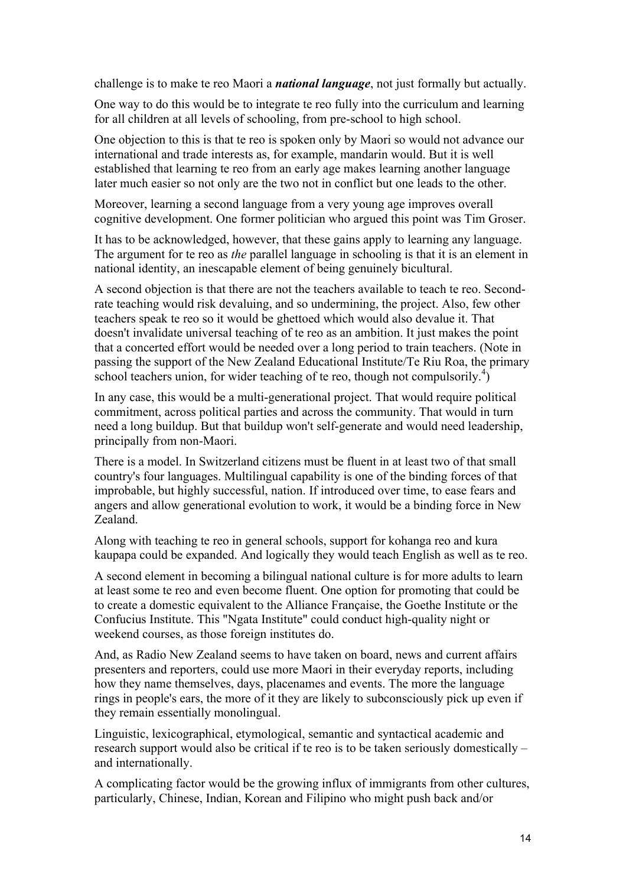challenge is to make te reo Maori a *national language*, not just formally but actually.

One way to do this would be to integrate te reo fully into the curriculum and learning for all children at all levels of schooling, from pre-school to high school.

One objection to this is that te reo is spoken only by Maori so would not advance our international and trade interests as, for example, mandarin would. But it is well established that learning te reo from an early age makes learning another language later much easier so not only are the two not in conflict but one leads to the other.

Moreover, learning a second language from a very young age improves overall cognitive development. One former politician who argued this point was Tim Groser.

It has to be acknowledged, however, that these gains apply to learning any language. The argument for te reo as *the* parallel language in schooling is that it is an element in national identity, an inescapable element of being genuinely bicultural.

A second objection is that there are not the teachers available to teach te reo. Secondrate teaching would risk devaluing, and so undermining, the project. Also, few other teachers speak te reo so it would be ghettoed which would also devalue it. That doesn't invalidate universal teaching of te reo as an ambition. It just makes the point that a concerted effort would be needed over a long period to train teachers. (Note in passing the support of the New Zealand Educational Institute/Te Riu Roa, the primary school teachers union, for wider teaching of te reo, though not compulsorily.<sup>4</sup>)

In any case, this would be a multi-generational project. That would require political commitment, across political parties and across the community. That would in turn need a long buildup. But that buildup won't self-generate and would need leadership, principally from non-Maori.

There is a model. In Switzerland citizens must be fluent in at least two of that small country's four languages. Multilingual capability is one of the binding forces of that improbable, but highly successful, nation. If introduced over time, to ease fears and angers and allow generational evolution to work, it would be a binding force in New Zealand.

Along with teaching te reo in general schools, support for kohanga reo and kura kaupapa could be expanded. And logically they would teach English as well as te reo.

A second element in becoming a bilingual national culture is for more adults to learn at least some te reo and even become fluent. One option for promoting that could be to create a domestic equivalent to the Alliance Française, the Goethe Institute or the Confucius Institute. This "Ngata Institute" could conduct high-quality night or weekend courses, as those foreign institutes do.

And, as Radio New Zealand seems to have taken on board, news and current affairs presenters and reporters, could use more Maori in their everyday reports, including how they name themselves, days, placenames and events. The more the language rings in people's ears, the more of it they are likely to subconsciously pick up even if they remain essentially monolingual.

Linguistic, lexicographical, etymological, semantic and syntactical academic and research support would also be critical if te reo is to be taken seriously domestically – and internationally.

A complicating factor would be the growing influx of immigrants from other cultures, particularly, Chinese, Indian, Korean and Filipino who might push back and/or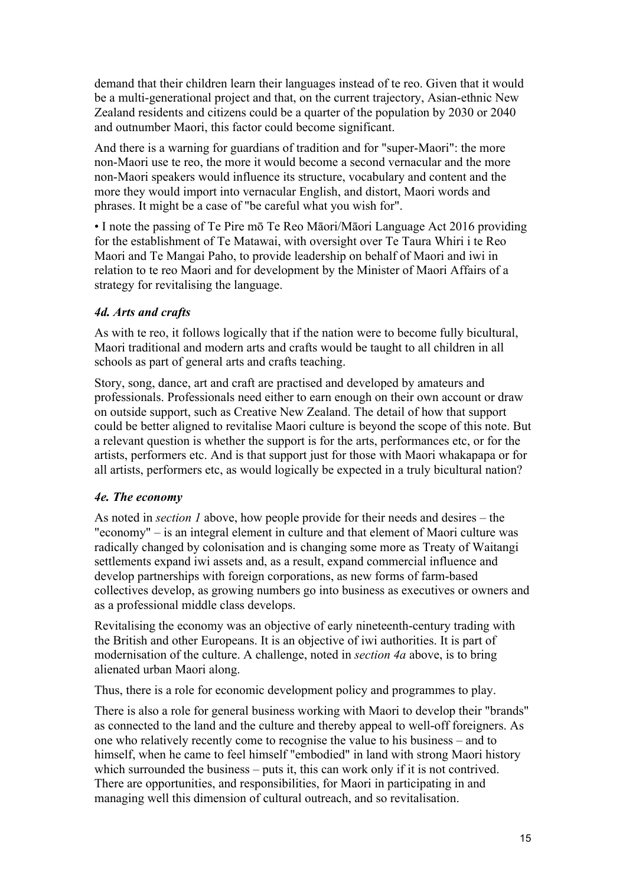demand that their children learn their languages instead of te reo. Given that it would be a multi-generational project and that, on the current trajectory, Asian-ethnic New Zealand residents and citizens could be a quarter of the population by 2030 or 2040 and outnumber Maori, this factor could become significant.

And there is a warning for guardians of tradition and for "super-Maori": the more non-Maori use te reo, the more it would become a second vernacular and the more non-Maori speakers would influence its structure, vocabulary and content and the more they would import into vernacular English, and distort, Maori words and phrases. It might be a case of "be careful what you wish for".

• I note the passing of Te Pire mō Te Reo Māori/Māori Language Act 2016 providing for the establishment of Te Matawai, with oversight over Te Taura Whiri i te Reo Maori and Te Mangai Paho, to provide leadership on behalf of Maori and iwi in relation to te reo Maori and for development by the Minister of Maori Affairs of a strategy for revitalising the language.

### *4d. Arts and crafts*

As with te reo, it follows logically that if the nation were to become fully bicultural, Maori traditional and modern arts and crafts would be taught to all children in all schools as part of general arts and crafts teaching.

Story, song, dance, art and craft are practised and developed by amateurs and professionals. Professionals need either to earn enough on their own account or draw on outside support, such as Creative New Zealand. The detail of how that support could be better aligned to revitalise Maori culture is beyond the scope of this note. But a relevant question is whether the support is for the arts, performances etc, or for the artists, performers etc. And is that support just for those with Maori whakapapa or for all artists, performers etc, as would logically be expected in a truly bicultural nation?

### *4e. The economy*

As noted in *section 1* above, how people provide for their needs and desires – the "economy" – is an integral element in culture and that element of Maori culture was radically changed by colonisation and is changing some more as Treaty of Waitangi settlements expand iwi assets and, as a result, expand commercial influence and develop partnerships with foreign corporations, as new forms of farm-based collectives develop, as growing numbers go into business as executives or owners and as a professional middle class develops.

Revitalising the economy was an objective of early nineteenth-century trading with the British and other Europeans. It is an objective of iwi authorities. It is part of modernisation of the culture. A challenge, noted in *section 4a* above, is to bring alienated urban Maori along.

Thus, there is a role for economic development policy and programmes to play.

There is also a role for general business working with Maori to develop their "brands" as connected to the land and the culture and thereby appeal to well-off foreigners. As one who relatively recently come to recognise the value to his business – and to himself, when he came to feel himself "embodied" in land with strong Maori history which surrounded the business – puts it, this can work only if it is not contrived. There are opportunities, and responsibilities, for Maori in participating in and managing well this dimension of cultural outreach, and so revitalisation.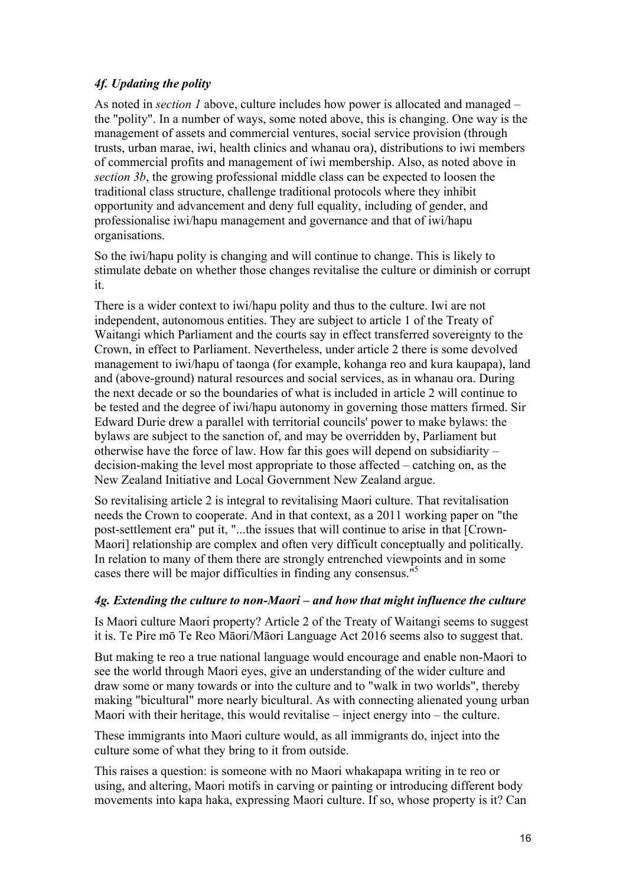## *4f. Updating the polity*

As noted in *section 1* above, culture includes how power is allocated and managed – the "polity". In a number of ways, some noted above, this is changing. One way is the management of assets and commercial ventures, social service provision (through trusts, urban marae, iwi, health clinics and whanau ora), distributions to iwi members of commercial profits and management of iwi membership. Also, as noted above in *section 3b*, the growing professional middle class can be expected to loosen the traditional class structure, challenge traditional protocols where they inhibit opportunity and advancement and deny full equality, including of gender, and professionalise iwi/hapu management and governance and that of iwi/hapu organisations.

So the iwi/hapu polity is changing and will continue to change. This is likely to stimulate debate on whether those changes revitalise the culture or diminish or corrupt it.

There is a wider context to iwi/hapu polity and thus to the culture. Iwi are not independent, autonomous entities. They are subject to article 1 of the Treaty of Waitangi which Parliament and the courts say in effect transferred sovereignty to the Crown, in effect to Parliament. Nevertheless, under article 2 there is some devolved management to iwi/hapu of taonga (for example, kohanga reo and kura kaupapa), land and (above-ground) natural resources and social services, as in whanau ora. During the next decade or so the boundaries of what is included in article 2 will continue to be tested and the degree of iwi/hapu autonomy in governing those matters firmed. Sir Edward Durie drew a parallel with territorial councils' power to make bylaws: the bylaws are subject to the sanction of, and may be overridden by, Parliament but otherwise have the force of law. How far this goes will depend on subsidiarity – decision-making the level most appropriate to those affected – catching on, as the New Zealand Initiative and Local Government New Zealand argue.

So revitalising article 2 is integral to revitalising Maori culture. That revitalisation needs the Crown to cooperate. And in that context, as a 2011 working paper on "the post-settlement era" put it, "...the issues that will continue to arise in that [Crown-Maori] relationship are complex and often very difficult conceptually and politically. In relation to many of them there are strongly entrenched viewpoints and in some cases there will be major difficulties in finding any consensus."5

## *4g. Extending the culture to non-Maori – and how that might influence the culture*

Is Maori culture Maori property? Article 2 of the Treaty of Waitangi seems to suggest it is. Te Pire mō Te Reo Māori/Māori Language Act 2016 seems also to suggest that.

But making te reo a true national language would encourage and enable non-Maori to see the world through Maori eyes, give an understanding of the wider culture and draw some or many towards or into the culture and to "walk in two worlds", thereby making "bicultural" more nearly bicultural. As with connecting alienated young urban Maori with their heritage, this would revitalise – inject energy into – the culture.

These immigrants into Maori culture would, as all immigrants do, inject into the culture some of what they bring to it from outside.

This raises a question: is someone with no Maori whakapapa writing in te reo or using, and altering, Maori motifs in carving or painting or introducing different body movements into kapa haka, expressing Maori culture. If so, whose property is it? Can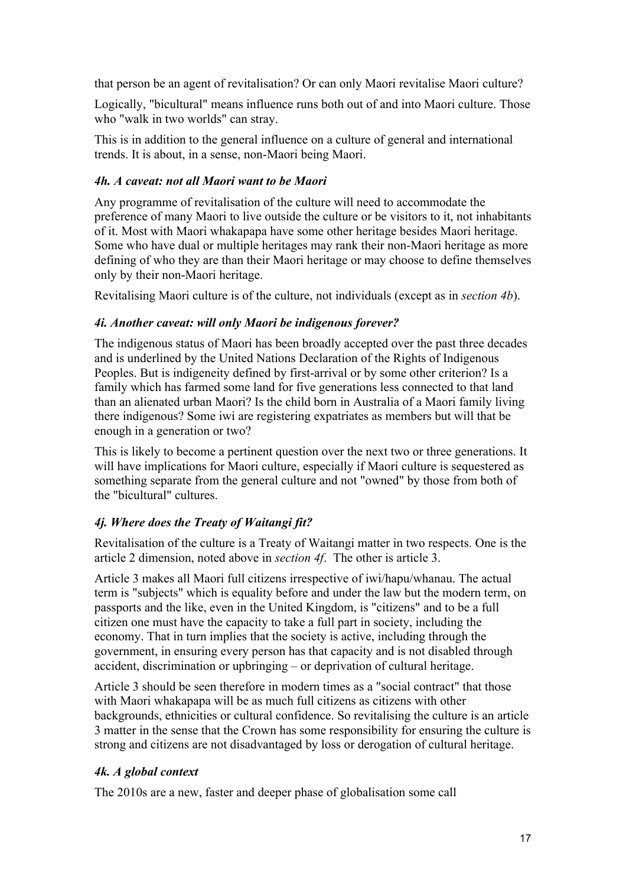that person be an agent of revitalisation? Or can only Maori revitalise Maori culture?

Logically, "bicultural" means influence runs both out of and into Maori culture. Those who "walk in two worlds" can stray.

This is in addition to the general influence on a culture of general and international trends. It is about, in a sense, non-Maori being Maori.

## *4h. A caveat: not all Maori want to be Maori*

Any programme of revitalisation of the culture will need to accommodate the preference of many Maori to live outside the culture or be visitors to it, not inhabitants of it. Most with Maori whakapapa have some other heritage besides Maori heritage. Some who have dual or multiple heritages may rank their non-Maori heritage as more defining of who they are than their Maori heritage or may choose to define themselves only by their non-Maori heritage.

Revitalising Maori culture is of the culture, not individuals (except as in *section 4b*).

## *4i. Another caveat: will only Maori be indigenous forever?*

The indigenous status of Maori has been broadly accepted over the past three decades and is underlined by the United Nations Declaration of the Rights of Indigenous Peoples. But is indigeneity defined by first-arrival or by some other criterion? Is a family which has farmed some land for five generations less connected to that land than an alienated urban Maori? Is the child born in Australia of a Maori family living there indigenous? Some iwi are registering expatriates as members but will that be enough in a generation or two?

This is likely to become a pertinent question over the next two or three generations. It will have implications for Maori culture, especially if Maori culture is sequestered as something separate from the general culture and not "owned" by those from both of the "bicultural" cultures.

## *4j. Where does the Treaty of Waitangi fit?*

Revitalisation of the culture is a Treaty of Waitangi matter in two respects. One is the article 2 dimension, noted above in *section 4f*. The other is article 3.

Article 3 makes all Maori full citizens irrespective of iwi/hapu/whanau. The actual term is "subjects" which is equality before and under the law but the modern term, on passports and the like, even in the United Kingdom, is "citizens" and to be a full citizen one must have the capacity to take a full part in society, including the economy. That in turn implies that the society is active, including through the government, in ensuring every person has that capacity and is not disabled through accident, discrimination or upbringing – or deprivation of cultural heritage.

Article 3 should be seen therefore in modern times as a "social contract" that those with Maori whakapapa will be as much full citizens as citizens with other backgrounds, ethnicities or cultural confidence. So revitalising the culture is an article 3 matter in the sense that the Crown has some responsibility for ensuring the culture is strong and citizens are not disadvantaged by loss or derogation of cultural heritage.

## *4k. A global context*

The 2010s are a new, faster and deeper phase of globalisation some call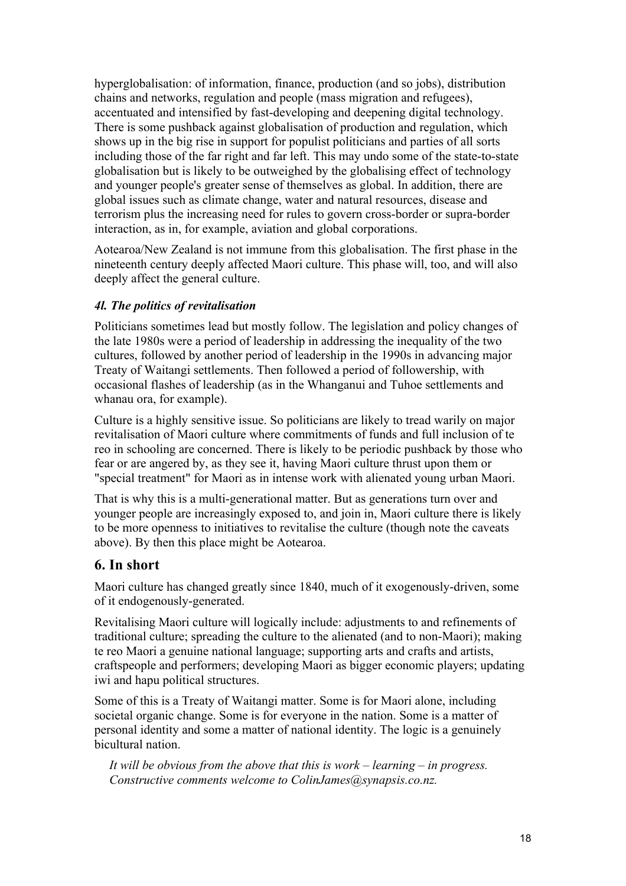hyperglobalisation: of information, finance, production (and so jobs), distribution chains and networks, regulation and people (mass migration and refugees), accentuated and intensified by fast-developing and deepening digital technology. There is some pushback against globalisation of production and regulation, which shows up in the big rise in support for populist politicians and parties of all sorts including those of the far right and far left. This may undo some of the state-to-state globalisation but is likely to be outweighed by the globalising effect of technology and younger people's greater sense of themselves as global. In addition, there are global issues such as climate change, water and natural resources, disease and terrorism plus the increasing need for rules to govern cross-border or supra-border interaction, as in, for example, aviation and global corporations.

Aotearoa/New Zealand is not immune from this globalisation. The first phase in the nineteenth century deeply affected Maori culture. This phase will, too, and will also deeply affect the general culture.

## *4l. The politics of revitalisation*

Politicians sometimes lead but mostly follow. The legislation and policy changes of the late 1980s were a period of leadership in addressing the inequality of the two cultures, followed by another period of leadership in the 1990s in advancing major Treaty of Waitangi settlements. Then followed a period of followership, with occasional flashes of leadership (as in the Whanganui and Tuhoe settlements and whanau ora, for example).

Culture is a highly sensitive issue. So politicians are likely to tread warily on major revitalisation of Maori culture where commitments of funds and full inclusion of te reo in schooling are concerned. There is likely to be periodic pushback by those who fear or are angered by, as they see it, having Maori culture thrust upon them or "special treatment" for Maori as in intense work with alienated young urban Maori.

That is why this is a multi-generational matter. But as generations turn over and younger people are increasingly exposed to, and join in, Maori culture there is likely to be more openness to initiatives to revitalise the culture (though note the caveats above). By then this place might be Aotearoa.

## **6. In short**

Maori culture has changed greatly since 1840, much of it exogenously-driven, some of it endogenously-generated.

Revitalising Maori culture will logically include: adjustments to and refinements of traditional culture; spreading the culture to the alienated (and to non-Maori); making te reo Maori a genuine national language; supporting arts and crafts and artists, craftspeople and performers; developing Maori as bigger economic players; updating iwi and hapu political structures.

Some of this is a Treaty of Waitangi matter. Some is for Maori alone, including societal organic change. Some is for everyone in the nation. Some is a matter of personal identity and some a matter of national identity. The logic is a genuinely bicultural nation.

*It will be obvious from the above that this is work – learning – in progress. Constructive comments welcome to ColinJames@synapsis.co.nz.*